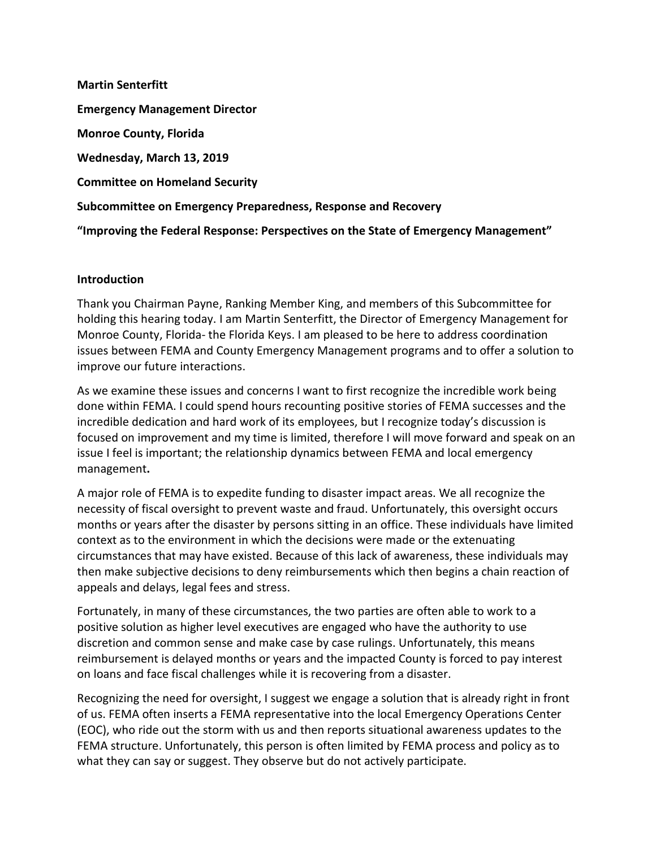**Martin Senterfitt Emergency Management Director Monroe County, Florida Wednesday, March 13, 2019 Committee on Homeland Security Subcommittee on Emergency Preparedness, Response and Recovery "Improving the Federal Response: Perspectives on the State of Emergency Management"**

## **Introduction**

Thank you Chairman Payne, Ranking Member King, and members of this Subcommittee for holding this hearing today. I am Martin Senterfitt, the Director of Emergency Management for Monroe County, Florida- the Florida Keys. I am pleased to be here to address coordination issues between FEMA and County Emergency Management programs and to offer a solution to improve our future interactions.

As we examine these issues and concerns I want to first recognize the incredible work being done within FEMA. I could spend hours recounting positive stories of FEMA successes and the incredible dedication and hard work of its employees, but I recognize today's discussion is focused on improvement and my time is limited, therefore I will move forward and speak on an issue I feel is important; the relationship dynamics between FEMA and local emergency management**.**

A major role of FEMA is to expedite funding to disaster impact areas. We all recognize the necessity of fiscal oversight to prevent waste and fraud. Unfortunately, this oversight occurs months or years after the disaster by persons sitting in an office. These individuals have limited context as to the environment in which the decisions were made or the extenuating circumstances that may have existed. Because of this lack of awareness, these individuals may then make subjective decisions to deny reimbursements which then begins a chain reaction of appeals and delays, legal fees and stress.

Fortunately, in many of these circumstances, the two parties are often able to work to a positive solution as higher level executives are engaged who have the authority to use discretion and common sense and make case by case rulings. Unfortunately, this means reimbursement is delayed months or years and the impacted County is forced to pay interest on loans and face fiscal challenges while it is recovering from a disaster.

Recognizing the need for oversight, I suggest we engage a solution that is already right in front of us. FEMA often inserts a FEMA representative into the local Emergency Operations Center (EOC), who ride out the storm with us and then reports situational awareness updates to the FEMA structure. Unfortunately, this person is often limited by FEMA process and policy as to what they can say or suggest. They observe but do not actively participate.